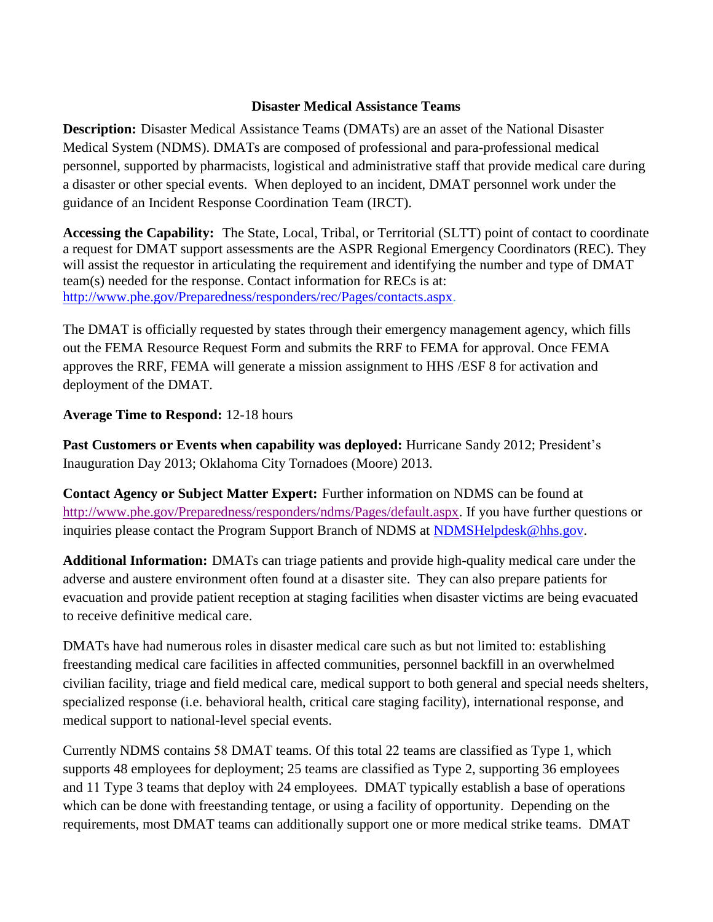## **Disaster Medical Assistance Teams**

**Description:** Disaster Medical Assistance Teams (DMATs) are an asset of the National Disaster Medical System (NDMS). DMATs are composed of professional and para-professional medical personnel, supported by pharmacists, logistical and administrative staff that provide medical care during a disaster or other special events. When deployed to an incident, DMAT personnel work under the guidance of an Incident Response Coordination Team (IRCT).

**Accessing the Capability:** The State, Local, Tribal, or Territorial (SLTT) point of contact to coordinate a request for DMAT support assessments are the ASPR Regional Emergency Coordinators (REC). They will assist the requestor in articulating the requirement and identifying the number and type of DMAT team(s) needed for the response. Contact information for RECs is at: [http://www.phe.gov/Preparedness/responders/rec/Pages/contacts.aspx.](http://www.phe.gov/Preparedness/responders/rec/Pages/contacts.aspx)

The DMAT is officially requested by states through their emergency management agency, which fills out the FEMA Resource Request Form and submits the RRF to FEMA for approval. Once FEMA approves the RRF, FEMA will generate a mission assignment to HHS /ESF 8 for activation and deployment of the DMAT.

## **Average Time to Respond:** 12-18 hours

**Past Customers or Events when capability was deployed:** Hurricane Sandy 2012; President's Inauguration Day 2013; Oklahoma City Tornadoes (Moore) 2013.

**Contact Agency or Subject Matter Expert:** Further information on NDMS can be found at [http://www.phe.gov/Preparedness/responders/ndms/Pages/default.aspx.](http://www.phe.gov/Preparedness/responders/ndms/Pages/default.aspx) If you have further questions or inquiries please contact the Program Support Branch of NDMS at [NDMSHelpdesk@hhs.gov.](mailto:NDMSHelpdesk@hhs.gov)

**Additional Information:** DMATs can triage patients and provide high-quality medical care under the adverse and austere environment often found at a disaster site. They can also prepare patients for evacuation and provide patient reception at staging facilities when disaster victims are being evacuated to receive definitive medical care.

DMATs have had numerous roles in disaster medical care such as but not limited to: establishing freestanding medical care facilities in affected communities, personnel backfill in an overwhelmed civilian facility, triage and field medical care, medical support to both general and special needs shelters, specialized response (i.e. behavioral health, critical care staging facility), international response, and medical support to national-level special events.

Currently NDMS contains 58 DMAT teams. Of this total 22 teams are classified as Type 1, which supports 48 employees for deployment; 25 teams are classified as Type 2, supporting 36 employees and 11 Type 3 teams that deploy with 24 employees. DMAT typically establish a base of operations which can be done with freestanding tentage, or using a facility of opportunity. Depending on the requirements, most DMAT teams can additionally support one or more medical strike teams. DMAT